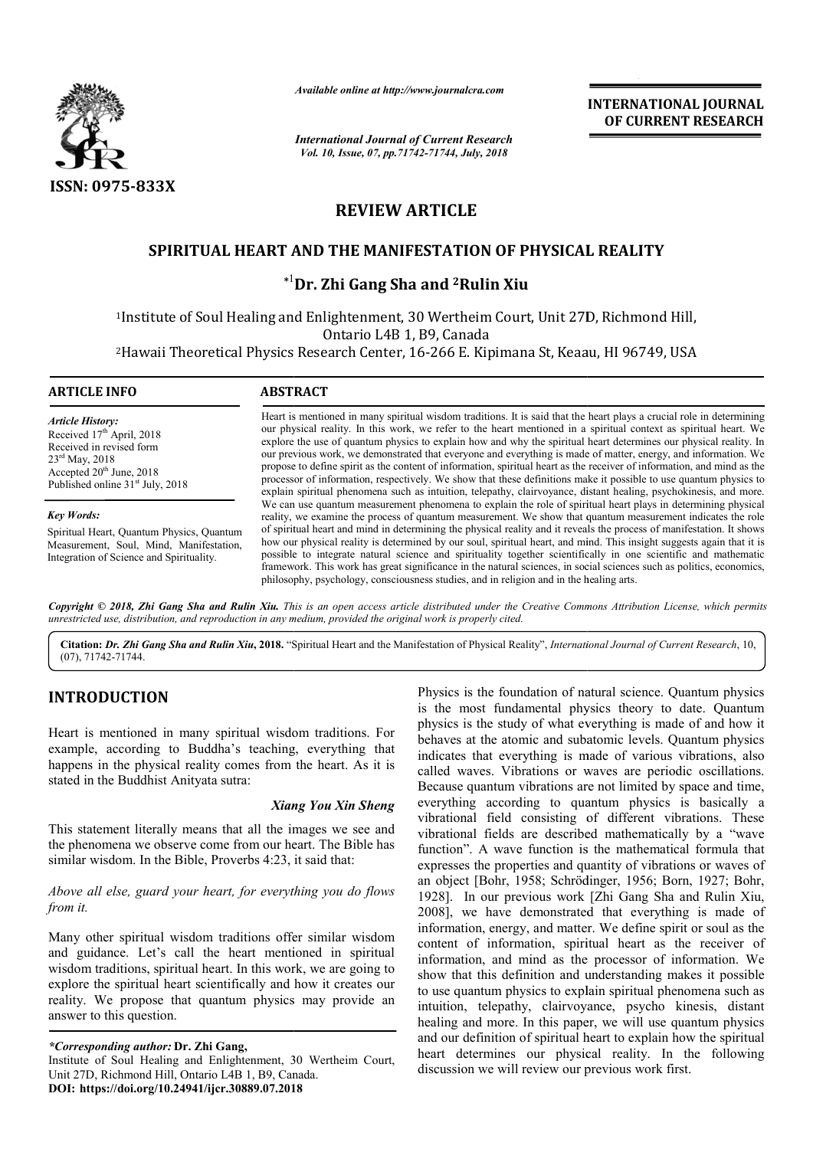

*Available online at http://www.journalcra.com*

*International Journal of Current Research Vol. 10, Issue, 07, pp.71742-71744, July, 2018*

**INTERNATIONAL JOURNAL OF CURRENT RESEARCH**

# **REVIEW ARTICLE**

## **SPIRITUAL HEART AND THE MANIFESTATION OF PHYSICAL REALITY SPIRITUAL HEART OF PHYSICAL REALITY**

# **\***1 **Dr. Zhi Gang Sha and 2Rulin Xiu**

1Institute of Soul Healing and Enlightenment, 30 Wertheim Court, Unit 27D, Richmond Hill, Institute Ontario L4B 1, B9, Canada <sup>2</sup>Hawaii Theoretical Physics Research Center, 16-266 E. Kipimana St, Keaau, HI 96749, USA

#### **ARTICLE INFO ABSTRACT** Heart is mentioned in many spiritual wisdom traditions. It is said that the heart plays a crucial role in determining Heart is mentioned in many spiritual wisdom traditions. It is said that the heart plays a crucial role in determining<br>our physical reality. In this work, we refer to the heart mentioned in a spiritual context as spiritual explore the use of quantum physics to explain how and why the spiritual heart determines our physical reality. In our previous work, we demonstrated that everyone and everything is made of matter, energy, and information. We propose to define spirit as the content of information, spiritual heart as the receiver of information, and mind as the processor of information, respectively. We show that these definitions make it possible to use quantum physics to explain spiritual phenomena such as intuition, telepathy, clairvoyance, distant healing, psychokinesis, and more. We can use quantum measurement phenomena to explain the role of spiritual heart plays in determining physical reality, we examine the process of quantum measurement. We show that quantum measurement indicates the role of spiritual heart and mind in determining the physical reality and it reveals the process of manifestation. It shows how our physical reality is determined by our soul, spiritual heart, and mind. This insight suggests again that it is of spiritual heart and mind in determining the physical reality and it reveals the process of manifestation. It shows<br>how our physical reality is determined by our soul, spiritual heart, and mind. This insight suggests aga *Article History:* Received  $17<sup>th</sup>$  April, 2018 Received in revised form  $23<sup>rd</sup>$  May, 2018 Accepted 20<sup>th</sup> June, 2018 Published online  $31<sup>st</sup>$  July, 2018 *Key Words:* Spiritual Heart, Quantum Physics, Quantum Measurement, Soul, Mind, Manifestation, Integration of Science and Spirituality. our previous work, we demonstrated that everyone and everything is made of matter, energy, and information. We<br>propose to define spirit as the content of information, spiritual heart as the receiver of information, and min We can use quantum measurement phenomena to explain the role of spiritual heart plays in determining physicality, we examine the process of quantum measurement. We show that quantum measurement indicates the of spiritual h

Copyright © 2018, Zhi Gang Sha and Rulin Xiu. This is an open access article distributed under the Creative Commons Attribution License, which permits *unrestricted use, distribution, and reproduction in any medium, provided the original work is properly cited.*

philosophy, psychology, consciousness studies, and in religion and in the healing arts

framework. This work has great significance in the natural sciences, in social sciences such as politics, economics,

Citation: Dr. Zhi Gang Sha and Rulin Xiu, 2018. "Spiritual Heart and the Manifestation of Physical Reality", International Journal of Current Research, 10, (07), 71742-71744.

# **INTRODUCTION**

Heart is mentioned in many spiritual wisdom traditions. For example, according to Buddha's teaching, everything that happens in the physical reality comes from the heart. As it is stated in the Buddhist Anityata sutra:

#### *Xiang You Xin Sheng*

This statement literally means that all the images we see and the phenomena we observe come from our heart. The Bible has similar wisdom. In the Bible, Proverbs 4:23, it said that:

#### Above all else, guard your heart, for everything you do flows *from it.*

Many other spiritual wisdom traditions offer similar wisdom and guidance. Let's call the heart mentioned in spiritual wisdom traditions, spiritual heart. In this work, we are going to explore the spiritual heart scientifically and how it creates our reality. We propose that quantum physics may provide an answer to this question. ifically and how<br>tum physics ma<br>ang,<br>ightenment, 30 W<br>4B 1, B9, Canada.

*\*Corresponding author:* **Dr. Zhi Gang,** Institute of Soul Healing and Enlightenment, 30 Wertheim Court, Unit 27D, Richmond Hill, Ontario L4B 1, B9, Canada

**DOI: https://doi.org/10.24941/ijcr.30889.07.2018**

Physics is the foundation of natural science. Quantum physics is the most fundamental physics theory to date. Quantum physics is the study of what everything is made of and how it behaves at the atomic and subatomic levels. Quantum physics indicates that everything is made of various vibrations, also called waves. Vibrations or waves are periodic oscillations. Because quantum vibrations are not limited by space and time, everything according to quantum physics is basically a vibrational field consisting of different vibrations. These vibrational fields are described mathematically by a "wave function". A wave function is the mathematical formula that expresses the properties and quantity of vibrations or waves of an object [Bohr, 1958; Schrödinger, 1956; Born, 1927; Bohr, 1928]. In our previous work [Zhi Gang Sha and Rulin Xiu, 2008], we have demonstrated that everything is made of information, energy, and matter. We define spirit or soul as the content of information, spiritual heart as the receiver of information, and mind as the processor of information. We show that this definition and understanding makes it possible to use quantum physics to explain spiritual phenomena such as intuition, telepathy, clairvoyance, psycho kinesis, distant healing and more. In this paper, we will use quantum physics and our definition of spiritual heart to explain how the spiritual heart determines our physical reality. In the following discussion we will review our previous work first. Physics is the foundation of natural science. Quantum physics<br>is the most fundamental physics theory to date. Quantum<br>physics is the study of what everything is made of and how it<br>behaves at the atomic and subatomic levels is information, spiritual heart as the receiver of n, and mind as the processor of information. We this definition and understanding makes it possible tum physics to explain spiritual phenomena such as telepathy, clairvoya INTERNATIONAL JOURNAL<br>
CONVERT RESEARCH<br>
CONVERT RESEARCH<br>
CONVERT RESEARCH<br>
CONVERT RESEARCH<br> **ETICLE**<br> **ESTATION OF PHYSICAL REALITY**<br> **AND Wertherin COUTE (STATION OF PHYSICAL REALITY**<br> **DV** Wertherin Court, Unit 27D, R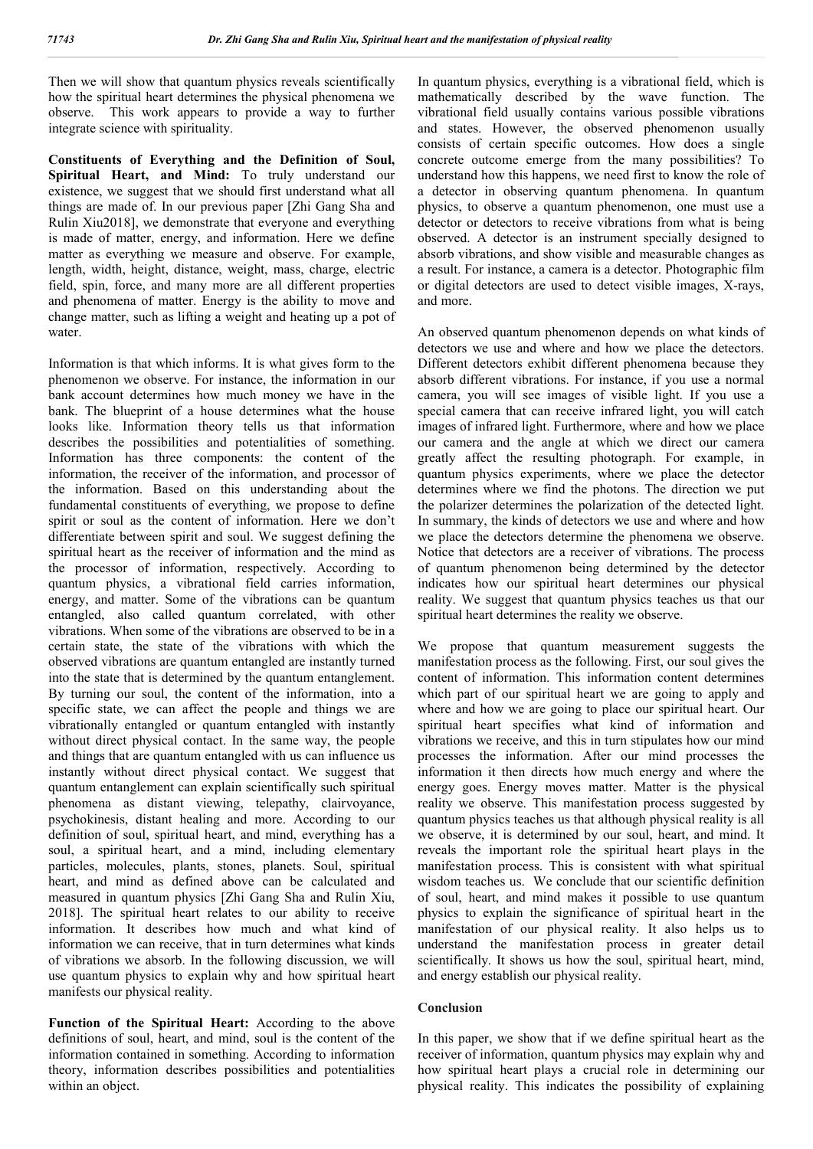Then we will show that quantum physics reveals scientifically how the spiritual heart determines the physical phenomena we observe. This work appears to provide a way to further integrate science with spirituality.

**Constituents of Everything and the Definition of Soul,**  Spiritual Heart, and Mind: To truly understand our existence, we suggest that we should first understand what all things are made of. In our previous paper [Zhi Gang Sha and Rulin Xiu2018], we demonstrate that everyone and everything is made of matter, energy, and information. Here we define matter as everything we measure and observe. For example, length, width, height, distance, weight, mass, charge, electric field, spin, force, and many more are all different properties and phenomena of matter. Energy is the ability to move and change matter, such as lifting a weight and heating up a pot of water.

Information is that which informs. It is what gives form to the phenomenon we observe. For instance, the information in our bank account determines how much money we have in the bank. The blueprint of a house determines what the house looks like. Information theory tells us that information describes the possibilities and potentialities of something. Information has three components: the content of the information, the receiver of the information, and processor of the information. Based on this understanding about the fundamental constituents of everything, we propose to define spirit or soul as the content of information. Here we don't differentiate between spirit and soul. We suggest defining the spiritual heart as the receiver of information and the mind as the processor of information, respectively. According to quantum physics, a vibrational field carries information, energy, and matter. Some of the vibrations can be quantum entangled, also called quantum correlated, with other vibrations. When some of the vibrations are observed to be in a certain state, the state of the vibrations with which the observed vibrations are quantum entangled are instantly turned into the state that is determined by the quantum entanglement. By turning our soul, the content of the information, into a specific state, we can affect the people and things we are vibrationally entangled or quantum entangled with instantly without direct physical contact. In the same way, the people and things that are quantum entangled with us can influence us instantly without direct physical contact. We suggest that quantum entanglement can explain scientifically such spiritual phenomena as distant viewing, telepathy, clairvoyance, psychokinesis, distant healing and more. According to our definition of soul, spiritual heart, and mind, everything has a soul, a spiritual heart, and a mind, including elementary particles, molecules, plants, stones, planets. Soul, spiritual heart, and mind as defined above can be calculated and measured in quantum physics [Zhi Gang Sha and Rulin Xiu, 2018]. The spiritual heart relates to our ability to receive information. It describes how much and what kind of information we can receive, that in turn determines what kinds of vibrations we absorb. In the following discussion, we will use quantum physics to explain why and how spiritual heart manifests our physical reality.

**Function of the Spiritual Heart:** According to the above definitions of soul, heart, and mind, soul is the content of the information contained in something. According to information theory, information describes possibilities and potentialities within an object.

In quantum physics, everything is a vibrational field, which is mathematically described by the wave function. The vibrational field usually contains various possible vibrations and states. However, the observed phenomenon usually consists of certain specific outcomes. How does a single concrete outcome emerge from the many possibilities? To understand how this happens, we need first to know the role of a detector in observing quantum phenomena. In quantum physics, to observe a quantum phenomenon, one must use a detector or detectors to receive vibrations from what is being observed. A detector is an instrument specially designed to absorb vibrations, and show visible and measurable changes as a result. For instance, a camera is a detector. Photographic film or digital detectors are used to detect visible images, X-rays, and more.

An observed quantum phenomenon depends on what kinds of detectors we use and where and how we place the detectors. Different detectors exhibit different phenomena because they absorb different vibrations. For instance, if you use a normal camera, you will see images of visible light. If you use a special camera that can receive infrared light, you will catch images of infrared light. Furthermore, where and how we place our camera and the angle at which we direct our camera greatly affect the resulting photograph. For example, in quantum physics experiments, where we place the detector determines where we find the photons. The direction we put the polarizer determines the polarization of the detected light. In summary, the kinds of detectors we use and where and how we place the detectors determine the phenomena we observe. Notice that detectors are a receiver of vibrations. The process of quantum phenomenon being determined by the detector indicates how our spiritual heart determines our physical reality. We suggest that quantum physics teaches us that our spiritual heart determines the reality we observe.

We propose that quantum measurement suggests the manifestation process as the following. First, our soul gives the content of information. This information content determines which part of our spiritual heart we are going to apply and where and how we are going to place our spiritual heart. Our spiritual heart specifies what kind of information and vibrations we receive, and this in turn stipulates how our mind processes the information. After our mind processes the information it then directs how much energy and where the energy goes. Energy moves matter. Matter is the physical reality we observe. This manifestation process suggested by quantum physics teaches us that although physical reality is all we observe, it is determined by our soul, heart, and mind. It reveals the important role the spiritual heart plays in the manifestation process. This is consistent with what spiritual wisdom teaches us. We conclude that our scientific definition of soul, heart, and mind makes it possible to use quantum physics to explain the significance of spiritual heart in the manifestation of our physical reality. It also helps us to understand the manifestation process in greater detail scientifically. It shows us how the soul, spiritual heart, mind, and energy establish our physical reality.

### **Conclusion**

In this paper, we show that if we define spiritual heart as the receiver of information, quantum physics may explain why and how spiritual heart plays a crucial role in determining our physical reality. This indicates the possibility of explaining